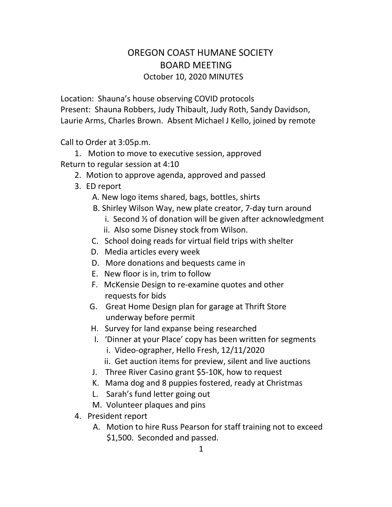## OREGON COAST HUMANE SOCIETY BOARD MEETING October 10, 2020 MINUTES

Location: Shauna's house observing COVID protocols Present: Shauna Robbers, Judy Thibault, Judy Roth, Sandy Davidson, Laurie Arms, Charles Brown. Absent Michael J Kello, joined by remote

Call to Order at 3:05p.m.

1. Motion to move to executive session, approved Return to regular session at 4:10

- 2. Motion to approve agenda, approved and passed
- 3. ED report
	- A. New logo items shared, bags, bottles, shirts
	- B. Shirley Wilson Way, new plate creator, 7-day turn around
		- i. Second ½ of donation will be given after acknowledgment
		- ii. Also some Disney stock from Wilson.
	- C. School doing reads for virtual field trips with shelter
	- D. Media articles every week
	- D. More donations and bequests came in
	- E. New floor is in, trim to follow
	- F. McKensie Design to re-examine quotes and other requests for bids
	- G. Great Home Design plan for garage at Thrift Store underway before permit
	- H. Survey for land expanse being researched
	- I. 'Dinner at your Place' copy has been written for segments
		- i. Video-ographer, Hello Fresh, 12/11/2020
		- ii. Get auction items for preview, silent and live auctions
	- J. Three River Casino grant \$5-10K, how to request
	- K. Mama dog and 8 puppies fostered, ready at Christmas
	- L. Sarah's fund letter going out
	- M. Volunteer plaques and pins
- 4. President report
	- A. Motion to hire Russ Pearson for staff training not to exceed \$1,500. Seconded and passed.